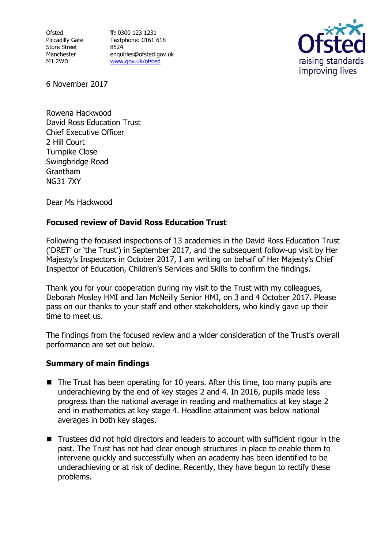**Ofsted** Piccadilly Gate Store Street Manchester M1 2WD

**T:** 0300 123 1231 Textphone: 0161 618 8524 enquiries@ofsted.gov.uk [www.gov.uk/ofsted](http://www.gov.uk/ofsted)



6 November 2017

Rowena Hackwood David Ross Education Trust Chief Executive Officer 2 Hill Court Turnpike Close Swingbridge Road Grantham NG31 7XY

Dear Ms Hackwood

## **Focused review of David Ross Education Trust**

Following the focused inspections of 13 academies in the David Ross Education Trust ('DRET' or 'the Trust') in September 2017, and the subsequent follow-up visit by Her Majesty's Inspectors in October 2017, I am writing on behalf of Her Majesty's Chief Inspector of Education, Children's Services and Skills to confirm the findings.

Thank you for your cooperation during my visit to the Trust with my colleagues, Deborah Mosley HMI and Ian McNeilly Senior HMI, on 3 and 4 October 2017. Please pass on our thanks to your staff and other stakeholders, who kindly gave up their time to meet us.

The findings from the focused review and a wider consideration of the Trust's overall performance are set out below.

## **Summary of main findings**

- $\blacksquare$  The Trust has been operating for 10 years. After this time, too many pupils are underachieving by the end of key stages 2 and 4. In 2016, pupils made less progress than the national average in reading and mathematics at key stage 2 and in mathematics at key stage 4. Headline attainment was below national averages in both key stages.
- Trustees did not hold directors and leaders to account with sufficient rigour in the past. The Trust has not had clear enough structures in place to enable them to intervene quickly and successfully when an academy has been identified to be underachieving or at risk of decline. Recently, they have begun to rectify these problems.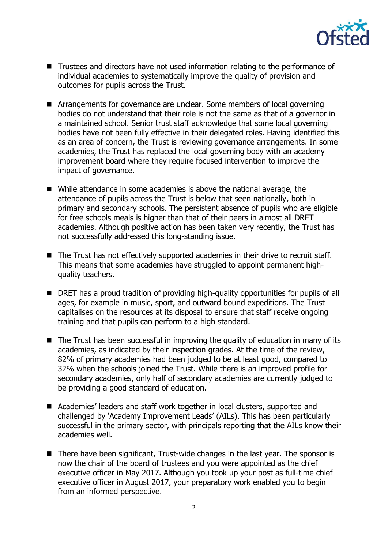

- Trustees and directors have not used information relating to the performance of individual academies to systematically improve the quality of provision and outcomes for pupils across the Trust.
- Arrangements for governance are unclear. Some members of local governing bodies do not understand that their role is not the same as that of a governor in a maintained school. Senior trust staff acknowledge that some local governing bodies have not been fully effective in their delegated roles. Having identified this as an area of concern, the Trust is reviewing governance arrangements. In some academies, the Trust has replaced the local governing body with an academy improvement board where they require focused intervention to improve the impact of governance.
- While attendance in some academies is above the national average, the attendance of pupils across the Trust is below that seen nationally, both in primary and secondary schools. The persistent absence of pupils who are eligible for free schools meals is higher than that of their peers in almost all DRET academies. Although positive action has been taken very recently, the Trust has not successfully addressed this long-standing issue.
- The Trust has not effectively supported academies in their drive to recruit staff. This means that some academies have struggled to appoint permanent highquality teachers.
- DRET has a proud tradition of providing high-quality opportunities for pupils of all ages, for example in music, sport, and outward bound expeditions. The Trust capitalises on the resources at its disposal to ensure that staff receive ongoing training and that pupils can perform to a high standard.
- $\blacksquare$  The Trust has been successful in improving the quality of education in many of its academies, as indicated by their inspection grades. At the time of the review, 82% of primary academies had been judged to be at least good, compared to 32% when the schools joined the Trust. While there is an improved profile for secondary academies, only half of secondary academies are currently judged to be providing a good standard of education.
- Academies' leaders and staff work together in local clusters, supported and challenged by 'Academy Improvement Leads' (AILs). This has been particularly successful in the primary sector, with principals reporting that the AILs know their academies well.
- There have been significant, Trust-wide changes in the last year. The sponsor is now the chair of the board of trustees and you were appointed as the chief executive officer in May 2017. Although you took up your post as full-time chief executive officer in August 2017, your preparatory work enabled you to begin from an informed perspective.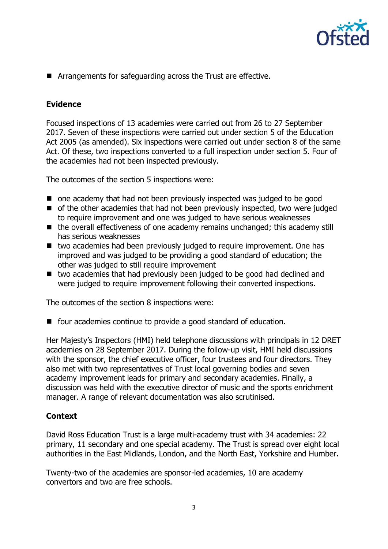

■ Arrangements for safeguarding across the Trust are effective.

## **Evidence**

Focused inspections of 13 academies were carried out from 26 to 27 September 2017. Seven of these inspections were carried out under section 5 of the Education Act 2005 (as amended). Six inspections were carried out under section 8 of the same Act. Of these, two inspections converted to a full inspection under section 5. Four of the academies had not been inspected previously.

The outcomes of the section 5 inspections were:

- one academy that had not been previously inspected was judged to be good
- of the other academies that had not been previously inspected, two were judged to require improvement and one was judged to have serious weaknesses
- the overall effectiveness of one academy remains unchanged; this academy still has serious weaknesses
- two academies had been previously judged to require improvement. One has improved and was judged to be providing a good standard of education; the other was judged to still require improvement
- two academies that had previously been judged to be good had declined and were judged to require improvement following their converted inspections.

The outcomes of the section 8 inspections were:

 $\blacksquare$  four academies continue to provide a good standard of education.

Her Majesty's Inspectors (HMI) held telephone discussions with principals in 12 DRET academies on 28 September 2017. During the follow-up visit, HMI held discussions with the sponsor, the chief executive officer, four trustees and four directors. They also met with two representatives of Trust local governing bodies and seven academy improvement leads for primary and secondary academies. Finally, a discussion was held with the executive director of music and the sports enrichment manager. A range of relevant documentation was also scrutinised.

## **Context**

David Ross Education Trust is a large multi-academy trust with 34 academies: 22 primary, 11 secondary and one special academy. The Trust is spread over eight local authorities in the East Midlands, London, and the North East, Yorkshire and Humber.

Twenty-two of the academies are sponsor-led academies, 10 are academy convertors and two are free schools.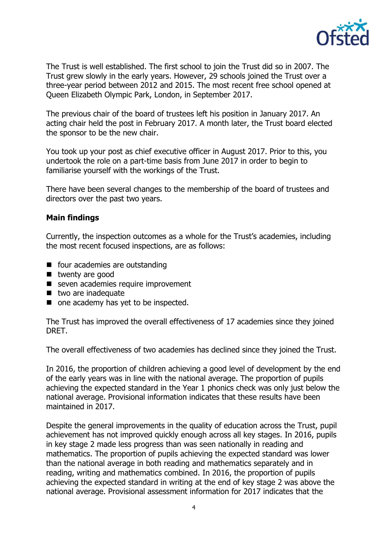

The Trust is well established. The first school to join the Trust did so in 2007. The Trust grew slowly in the early years. However, 29 schools joined the Trust over a three-year period between 2012 and 2015. The most recent free school opened at Queen Elizabeth Olympic Park, London, in September 2017.

The previous chair of the board of trustees left his position in January 2017. An acting chair held the post in February 2017. A month later, the Trust board elected the sponsor to be the new chair.

You took up your post as chief executive officer in August 2017. Prior to this, you undertook the role on a part-time basis from June 2017 in order to begin to familiarise yourself with the workings of the Trust.

There have been several changes to the membership of the board of trustees and directors over the past two years.

#### **Main findings**

Currently, the inspection outcomes as a whole for the Trust's academies, including the most recent focused inspections, are as follows:

- four academies are outstanding
- twenty are good
- seven academies require improvement
- $\blacksquare$  two are inadequate
- one academy has yet to be inspected.

The Trust has improved the overall effectiveness of 17 academies since they joined DRET.

The overall effectiveness of two academies has declined since they joined the Trust.

In 2016, the proportion of children achieving a good level of development by the end of the early years was in line with the national average. The proportion of pupils achieving the expected standard in the Year 1 phonics check was only just below the national average. Provisional information indicates that these results have been maintained in 2017.

Despite the general improvements in the quality of education across the Trust, pupil achievement has not improved quickly enough across all key stages. In 2016, pupils in key stage 2 made less progress than was seen nationally in reading and mathematics. The proportion of pupils achieving the expected standard was lower than the national average in both reading and mathematics separately and in reading, writing and mathematics combined. In 2016, the proportion of pupils achieving the expected standard in writing at the end of key stage 2 was above the national average. Provisional assessment information for 2017 indicates that the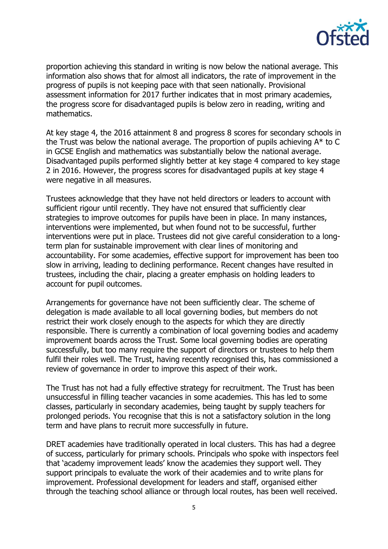

proportion achieving this standard in writing is now below the national average. This information also shows that for almost all indicators, the rate of improvement in the progress of pupils is not keeping pace with that seen nationally. Provisional assessment information for 2017 further indicates that in most primary academies, the progress score for disadvantaged pupils is below zero in reading, writing and mathematics.

At key stage 4, the 2016 attainment 8 and progress 8 scores for secondary schools in the Trust was below the national average. The proportion of pupils achieving  $A^*$  to C in GCSE English and mathematics was substantially below the national average. Disadvantaged pupils performed slightly better at key stage 4 compared to key stage 2 in 2016. However, the progress scores for disadvantaged pupils at key stage 4 were negative in all measures.

Trustees acknowledge that they have not held directors or leaders to account with sufficient rigour until recently. They have not ensured that sufficiently clear strategies to improve outcomes for pupils have been in place. In many instances, interventions were implemented, but when found not to be successful, further interventions were put in place. Trustees did not give careful consideration to a longterm plan for sustainable improvement with clear lines of monitoring and accountability. For some academies, effective support for improvement has been too slow in arriving, leading to declining performance. Recent changes have resulted in trustees, including the chair, placing a greater emphasis on holding leaders to account for pupil outcomes.

Arrangements for governance have not been sufficiently clear. The scheme of delegation is made available to all local governing bodies, but members do not restrict their work closely enough to the aspects for which they are directly responsible. There is currently a combination of local governing bodies and academy improvement boards across the Trust. Some local governing bodies are operating successfully, but too many require the support of directors or trustees to help them fulfil their roles well. The Trust, having recently recognised this, has commissioned a review of governance in order to improve this aspect of their work.

The Trust has not had a fully effective strategy for recruitment. The Trust has been unsuccessful in filling teacher vacancies in some academies. This has led to some classes, particularly in secondary academies, being taught by supply teachers for prolonged periods. You recognise that this is not a satisfactory solution in the long term and have plans to recruit more successfully in future.

DRET academies have traditionally operated in local clusters. This has had a degree of success, particularly for primary schools. Principals who spoke with inspectors feel that 'academy improvement leads' know the academies they support well. They support principals to evaluate the work of their academies and to write plans for improvement. Professional development for leaders and staff, organised either through the teaching school alliance or through local routes, has been well received.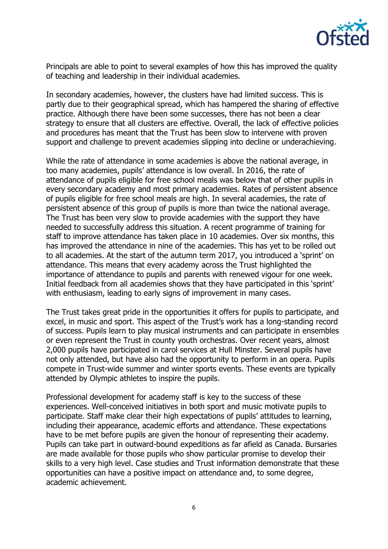

Principals are able to point to several examples of how this has improved the quality of teaching and leadership in their individual academies.

In secondary academies, however, the clusters have had limited success. This is partly due to their geographical spread, which has hampered the sharing of effective practice. Although there have been some successes, there has not been a clear strategy to ensure that all clusters are effective. Overall, the lack of effective policies and procedures has meant that the Trust has been slow to intervene with proven support and challenge to prevent academies slipping into decline or underachieving.

While the rate of attendance in some academies is above the national average, in too many academies, pupils' attendance is low overall. In 2016, the rate of attendance of pupils eligible for free school meals was below that of other pupils in every secondary academy and most primary academies. Rates of persistent absence of pupils eligible for free school meals are high. In several academies, the rate of persistent absence of this group of pupils is more than twice the national average. The Trust has been very slow to provide academies with the support they have needed to successfully address this situation. A recent programme of training for staff to improve attendance has taken place in 10 academies. Over six months, this has improved the attendance in nine of the academies. This has yet to be rolled out to all academies. At the start of the autumn term 2017, you introduced a 'sprint' on attendance. This means that every academy across the Trust highlighted the importance of attendance to pupils and parents with renewed vigour for one week. Initial feedback from all academies shows that they have participated in this 'sprint' with enthusiasm, leading to early signs of improvement in many cases.

The Trust takes great pride in the opportunities it offers for pupils to participate, and excel, in music and sport. This aspect of the Trust's work has a long-standing record of success. Pupils learn to play musical instruments and can participate in ensembles or even represent the Trust in county youth orchestras. Over recent years, almost 2,000 pupils have participated in carol services at Hull Minster. Several pupils have not only attended, but have also had the opportunity to perform in an opera. Pupils compete in Trust-wide summer and winter sports events. These events are typically attended by Olympic athletes to inspire the pupils.

Professional development for academy staff is key to the success of these experiences. Well-conceived initiatives in both sport and music motivate pupils to participate. Staff make clear their high expectations of pupils' attitudes to learning, including their appearance, academic efforts and attendance. These expectations have to be met before pupils are given the honour of representing their academy. Pupils can take part in outward-bound expeditions as far afield as Canada. Bursaries are made available for those pupils who show particular promise to develop their skills to a very high level. Case studies and Trust information demonstrate that these opportunities can have a positive impact on attendance and, to some degree, academic achievement.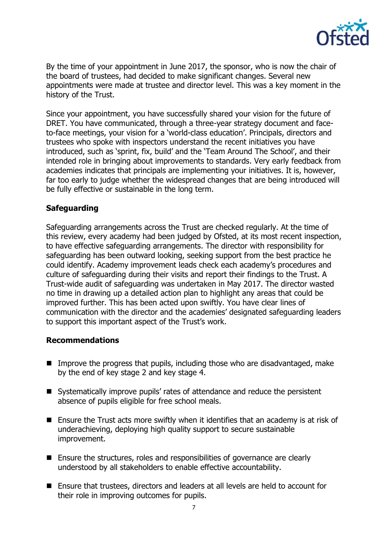

By the time of your appointment in June 2017, the sponsor, who is now the chair of the board of trustees, had decided to make significant changes. Several new appointments were made at trustee and director level. This was a key moment in the history of the Trust.

Since your appointment, you have successfully shared your vision for the future of DRET. You have communicated, through a three-year strategy document and faceto-face meetings, your vision for a 'world-class education'. Principals, directors and trustees who spoke with inspectors understand the recent initiatives you have introduced, such as 'sprint, fix, build' and the 'Team Around The School', and their intended role in bringing about improvements to standards. Very early feedback from academies indicates that principals are implementing your initiatives. It is, however, far too early to judge whether the widespread changes that are being introduced will be fully effective or sustainable in the long term.

## **Safeguarding**

Safeguarding arrangements across the Trust are checked regularly. At the time of this review, every academy had been judged by Ofsted, at its most recent inspection, to have effective safeguarding arrangements. The director with responsibility for safeguarding has been outward looking, seeking support from the best practice he could identify. Academy improvement leads check each academy's procedures and culture of safeguarding during their visits and report their findings to the Trust. A Trust-wide audit of safeguarding was undertaken in May 2017. The director wasted no time in drawing up a detailed action plan to highlight any areas that could be improved further. This has been acted upon swiftly. You have clear lines of communication with the director and the academies' designated safeguarding leaders to support this important aspect of the Trust's work.

#### **Recommendations**

- Improve the progress that pupils, including those who are disadvantaged, make by the end of key stage 2 and key stage 4.
- Systematically improve pupils' rates of attendance and reduce the persistent absence of pupils eligible for free school meals.
- **E** Ensure the Trust acts more swiftly when it identifies that an academy is at risk of underachieving, deploying high quality support to secure sustainable improvement.
- Ensure the structures, roles and responsibilities of governance are clearly understood by all stakeholders to enable effective accountability.
- Ensure that trustees, directors and leaders at all levels are held to account for their role in improving outcomes for pupils.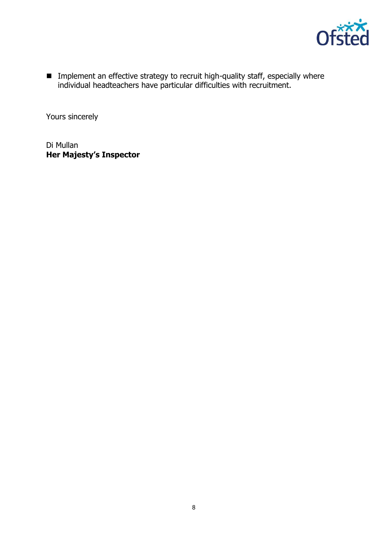

**IMPLEMENTE IM** Implement an effective strategy to recruit high-quality staff, especially where individual headteachers have particular difficulties with recruitment.

Yours sincerely

Di Mullan **Her Majesty's Inspector**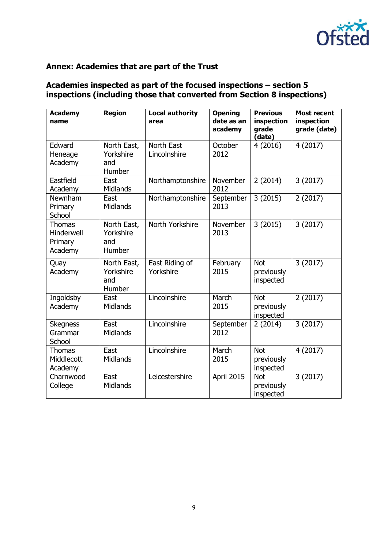

## **Annex: Academies that are part of the Trust**

# **Academies inspected as part of the focused inspections – section 5 inspections (including those that converted from Section 8 inspections)**

| <b>Academy</b><br>name                            | <b>Region</b>                                    | <b>Local authority</b><br>area | <b>Opening</b><br>date as an<br>academy | <b>Previous</b><br>inspection<br>grade<br>(date) | <b>Most recent</b><br>inspection<br>grade (date) |
|---------------------------------------------------|--------------------------------------------------|--------------------------------|-----------------------------------------|--------------------------------------------------|--------------------------------------------------|
| Edward<br>Heneage<br>Academy                      | North East,<br>Yorkshire<br>and<br>Humber        | North East<br>Lincolnshire     | October<br>2012                         | 4(2016)                                          | 4 (2017)                                         |
| Eastfield<br>Academy                              | East<br><b>Midlands</b>                          | Northamptonshire               | November<br>2012                        | 2(2014)                                          | 3(2017)                                          |
| Newnham<br>Primary<br>School                      | East<br>Midlands                                 | Northamptonshire               | September<br>2013                       | 3(2015)                                          | 2(2017)                                          |
| <b>Thomas</b><br>Hinderwell<br>Primary<br>Academy | North East,<br>Yorkshire<br>and<br><b>Humber</b> | North Yorkshire                | November<br>2013                        | 3(2015)                                          | 3(2017)                                          |
| Quay<br>Academy                                   | North East,<br>Yorkshire<br>and<br>Humber        | East Riding of<br>Yorkshire    | February<br>2015                        | <b>Not</b><br>previously<br>inspected            | 3(2017)                                          |
| Ingoldsby<br>Academy                              | East<br><b>Midlands</b>                          | Lincolnshire                   | March<br>2015                           | <b>Not</b><br>previously<br>inspected            | 2(2017)                                          |
| <b>Skegness</b><br>Grammar<br>School              | East<br>Midlands                                 | Lincolnshire                   | September<br>2012                       | 2(2014)                                          | 3(2017)                                          |
| <b>Thomas</b><br>Middlecott<br>Academy            | East<br><b>Midlands</b>                          | Lincolnshire                   | March<br>2015                           | <b>Not</b><br>previously<br>inspected            | 4 (2017)                                         |
| Charnwood<br>College                              | East<br>Midlands                                 | Leicestershire                 | April 2015                              | <b>Not</b><br>previously<br>inspected            | 3(2017)                                          |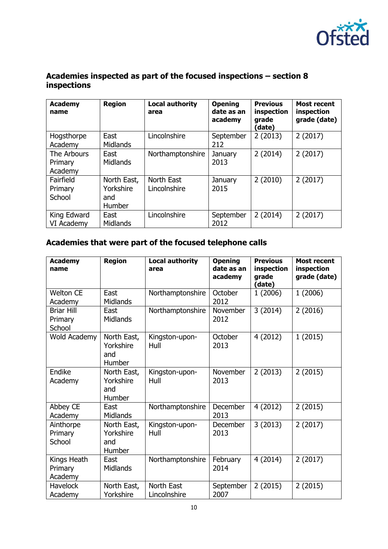

## **Academies inspected as part of the focused inspections – section 8 inspections**

| <b>Academy</b><br>name            | <b>Region</b>                             | <b>Local authority</b><br>area | <b>Opening</b><br>date as an<br>academy | <b>Previous</b><br>inspection<br>grade<br>(date) | <b>Most recent</b><br>inspection<br>grade (date) |
|-----------------------------------|-------------------------------------------|--------------------------------|-----------------------------------------|--------------------------------------------------|--------------------------------------------------|
| Hogsthorpe<br>Academy             | East<br><b>Midlands</b>                   | Lincolnshire                   | September<br>212                        | 2(2013)                                          | 2(2017)                                          |
| The Arbours<br>Primary<br>Academy | East<br><b>Midlands</b>                   | Northamptonshire               | January<br>2013                         | 2(2014)                                          | 2(2017)                                          |
| Fairfield<br>Primary<br>School    | North East,<br>Yorkshire<br>and<br>Humber | North East<br>Lincolnshire     | January<br>2015                         | 2(2010)                                          | 2(2017)                                          |
| King Edward<br>VI Academy         | East<br><b>Midlands</b>                   | Lincolnshire                   | September<br>2012                       | 2(2014)                                          | 2(2017)                                          |

# **Academies that were part of the focused telephone calls**

| <b>Academy</b><br>name                 | <b>Region</b>                             | <b>Local authority</b><br>area | <b>Opening</b><br>date as an<br>academy | <b>Previous</b><br>inspection<br>grade<br>(date) | <b>Most recent</b><br>inspection<br>grade (date) |
|----------------------------------------|-------------------------------------------|--------------------------------|-----------------------------------------|--------------------------------------------------|--------------------------------------------------|
| <b>Welton CE</b><br>Academy            | East<br><b>Midlands</b>                   | Northamptonshire               | October<br>2012                         | 1(2006)                                          | 1(2006)                                          |
| <b>Briar Hill</b><br>Primary<br>School | East<br><b>Midlands</b>                   | Northamptonshire               | November<br>2012                        | 3(2014)                                          | 2(2016)                                          |
| Wold Academy                           | North East,<br>Yorkshire<br>and<br>Humber | Kingston-upon-<br>Hull         | October<br>2013                         | 4(2012)                                          | 1(2015)                                          |
| Endike<br>Academy                      | North East,<br>Yorkshire<br>and<br>Humber | Kingston-upon-<br>Hull         | November<br>2013                        | 2(2013)                                          | 2(2015)                                          |
| Abbey CE<br>Academy                    | East<br><b>Midlands</b>                   | Northamptonshire               | <b>December</b><br>2013                 | 4(2012)                                          | 2(2015)                                          |
| Ainthorpe<br>Primary<br>School         | North East,<br>Yorkshire<br>and<br>Humber | Kingston-upon-<br>Hull         | <b>December</b><br>2013                 | 3(2013)                                          | 2(2017)                                          |
| Kings Heath<br>Primary<br>Academy      | East<br><b>Midlands</b>                   | Northamptonshire               | February<br>2014                        | 4(2014)                                          | 2(2017)                                          |
| <b>Havelock</b><br>Academy             | North East,<br>Yorkshire                  | North East<br>Lincolnshire     | September<br>2007                       | 2(2015)                                          | 2(2015)                                          |